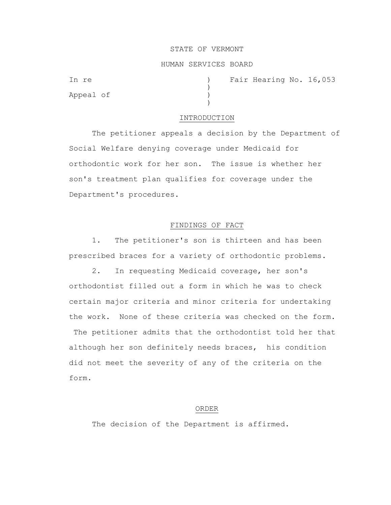### STATE OF VERMONT

## HUMAN SERVICES BOARD

)

)

Appeal of )

In re (a) Tair Hearing No. 16,053

#### INTRODUCTION

The petitioner appeals a decision by the Department of Social Welfare denying coverage under Medicaid for orthodontic work for her son. The issue is whether her son's treatment plan qualifies for coverage under the Department's procedures.

# FINDINGS OF FACT

1. The petitioner's son is thirteen and has been prescribed braces for a variety of orthodontic problems.

2. In requesting Medicaid coverage, her son's orthodontist filled out a form in which he was to check certain major criteria and minor criteria for undertaking the work. None of these criteria was checked on the form.

The petitioner admits that the orthodontist told her that although her son definitely needs braces, his condition did not meet the severity of any of the criteria on the form.

### ORDER

The decision of the Department is affirmed.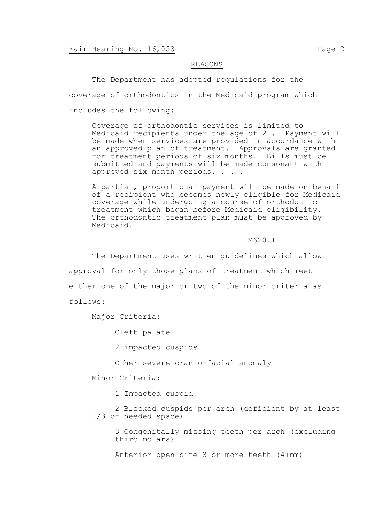### REASONS

The Department has adopted regulations for the coverage of orthodontics in the Medicaid program which includes the following:

Coverage of orthodontic services is limited to Medicaid recipients under the age of 21. Payment will be made when services are provided in accordance with an approved plan of treatment. Approvals are granted for treatment periods of six months. Bills must be submitted and payments will be made consonant with approved six month periods. . . .

A partial, proportional payment will be made on behalf of a recipient who becomes newly eligible for Medicaid coverage while undergoing a course of orthodontic treatment which began before Medicaid eligibility. The orthodontic treatment plan must be approved by Medicaid.

M620.1

The Department uses written guidelines which allow approval for only those plans of treatment which meet either one of the major or two of the minor criteria as follows:

Major Criteria:

Cleft palate

2 impacted cuspids

Other severe cranio-facial anomaly

Minor Criteria:

1 Impacted cuspid

2 Blocked cuspids per arch (deficient by at least 1/3 of needed space)

3 Congenitally missing teeth per arch (excluding third molars)

Anterior open bite 3 or more teeth (4+mm)